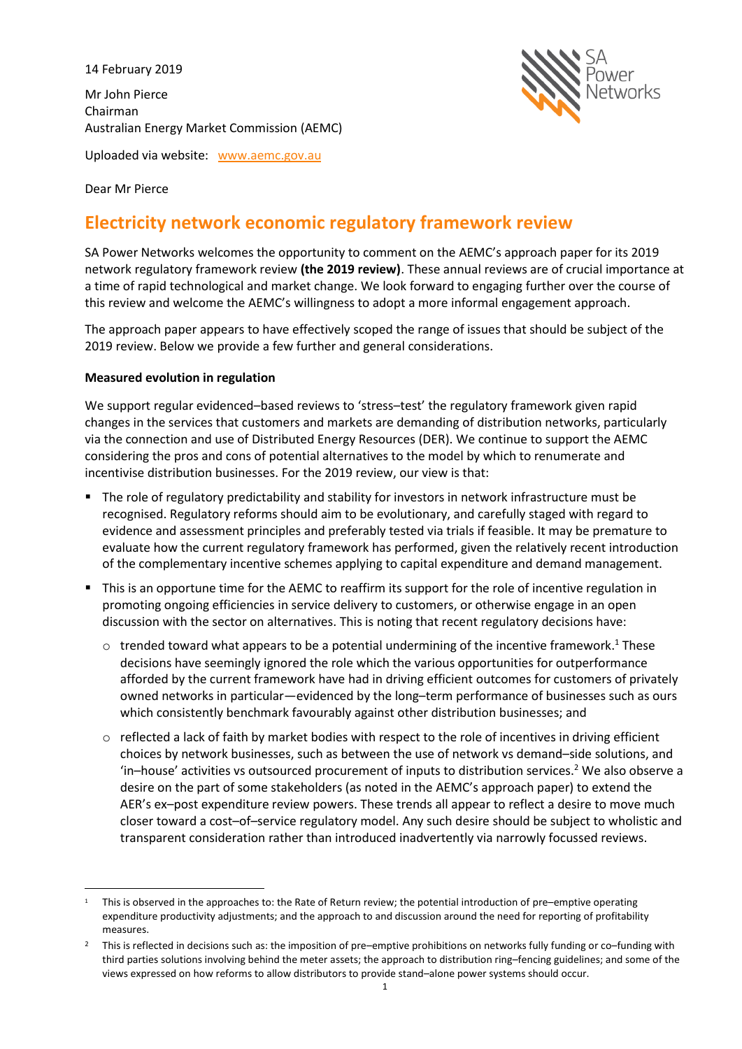14 February 2019

Mr John Pierce Chairman Australian Energy Market Commission (AEMC)



Uploaded via website: [www.aemc.gov.au](http://www.aemc.gov.au/)

Dear Mr Pierce

# **Electricity network economic regulatory framework review**

SA Power Networks welcomes the opportunity to comment on the AEMC's approach paper for its 2019 network regulatory framework review **(the 2019 review)**. These annual reviews are of crucial importance at a time of rapid technological and market change. We look forward to engaging further over the course of this review and welcome the AEMC's willingness to adopt a more informal engagement approach.

The approach paper appears to have effectively scoped the range of issues that should be subject of the 2019 review. Below we provide a few further and general considerations.

## **Measured evolution in regulation**

We support regular evidenced–based reviews to 'stress–test' the regulatory framework given rapid changes in the services that customers and markets are demanding of distribution networks, particularly via the connection and use of Distributed Energy Resources (DER). We continue to support the AEMC considering the pros and cons of potential alternatives to the model by which to renumerate and incentivise distribution businesses. For the 2019 review, our view is that:

- The role of regulatory predictability and stability for investors in network infrastructure must be recognised. Regulatory reforms should aim to be evolutionary, and carefully staged with regard to evidence and assessment principles and preferably tested via trials if feasible. It may be premature to evaluate how the current regulatory framework has performed, given the relatively recent introduction of the complementary incentive schemes applying to capital expenditure and demand management.
- This is an opportune time for the AEMC to reaffirm its support for the role of incentive regulation in promoting ongoing efficiencies in service delivery to customers, or otherwise engage in an open discussion with the sector on alternatives. This is noting that recent regulatory decisions have:
	- $\circ$  trended toward what appears to be a potential undermining of the incentive framework.<sup>1</sup> These decisions have seemingly ignored the role which the various opportunities for outperformance afforded by the current framework have had in driving efficient outcomes for customers of privately owned networks in particular—evidenced by the long–term performance of businesses such as ours which consistently benchmark favourably against other distribution businesses; and
	- $\circ$  reflected a lack of faith by market bodies with respect to the role of incentives in driving efficient choices by network businesses, such as between the use of network vs demand–side solutions, and 'in–house' activities vs outsourced procurement of inputs to distribution services.<sup>2</sup> We also observe a desire on the part of some stakeholders (as noted in the AEMC's approach paper) to extend the AER's ex–post expenditure review powers. These trends all appear to reflect a desire to move much closer toward a cost–of–service regulatory model. Any such desire should be subject to wholistic and transparent consideration rather than introduced inadvertently via narrowly focussed reviews.

 $\overline{\phantom{a}}$  $1$  This is observed in the approaches to: the Rate of Return review; the potential introduction of pre–emptive operating expenditure productivity adjustments; and the approach to and discussion around the need for reporting of profitability measures.

<sup>&</sup>lt;sup>2</sup> This is reflected in decisions such as: the imposition of pre–emptive prohibitions on networks fully funding or co–funding with third parties solutions involving behind the meter assets; the approach to distribution ring–fencing guidelines; and some of the views expressed on how reforms to allow distributors to provide stand–alone power systems should occur.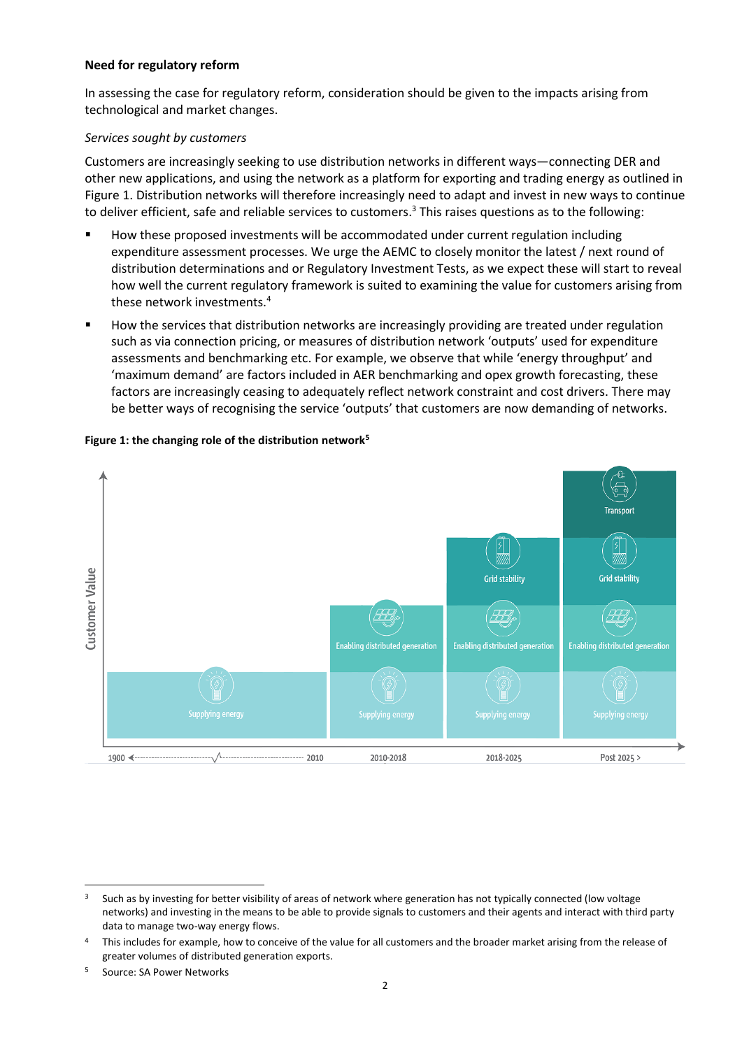#### **Need for regulatory reform**

In assessing the case for regulatory reform, consideration should be given to the impacts arising from technological and market changes.

## *Services sought by customers*

Customers are increasingly seeking to use distribution networks in different ways—connecting DER and other new applications, and using the network as a platform for exporting and trading energy as outlined in Figure 1. Distribution networks will therefore increasingly need to adapt and invest in new ways to continue to deliver efficient, safe and reliable services to customers.<sup>3</sup> This raises questions as to the following:

- How these proposed investments will be accommodated under current regulation including expenditure assessment processes. We urge the AEMC to closely monitor the latest / next round of distribution determinations and or Regulatory Investment Tests, as we expect these will start to reveal how well the current regulatory framework is suited to examining the value for customers arising from these network investments.<sup>4</sup>
- How the services that distribution networks are increasingly providing are treated under regulation such as via connection pricing, or measures of distribution network 'outputs' used for expenditure assessments and benchmarking etc. For example, we observe that while 'energy throughput' and 'maximum demand' are factors included in AER benchmarking and opex growth forecasting, these factors are increasingly ceasing to adequately reflect network constraint and cost drivers. There may be better ways of recognising the service 'outputs' that customers are now demanding of networks.



# **Figure 1: the changing role of the distribution network<sup>5</sup>**

 $\overline{\phantom{a}}$ <sup>3</sup> Such as by investing for better visibility of areas of network where generation has not typically connected (low voltage networks) and investing in the means to be able to provide signals to customers and their agents and interact with third party data to manage two-way energy flows.

This includes for example, how to conceive of the value for all customers and the broader market arising from the release of greater volumes of distributed generation exports.

<sup>5</sup> Source: SA Power Networks